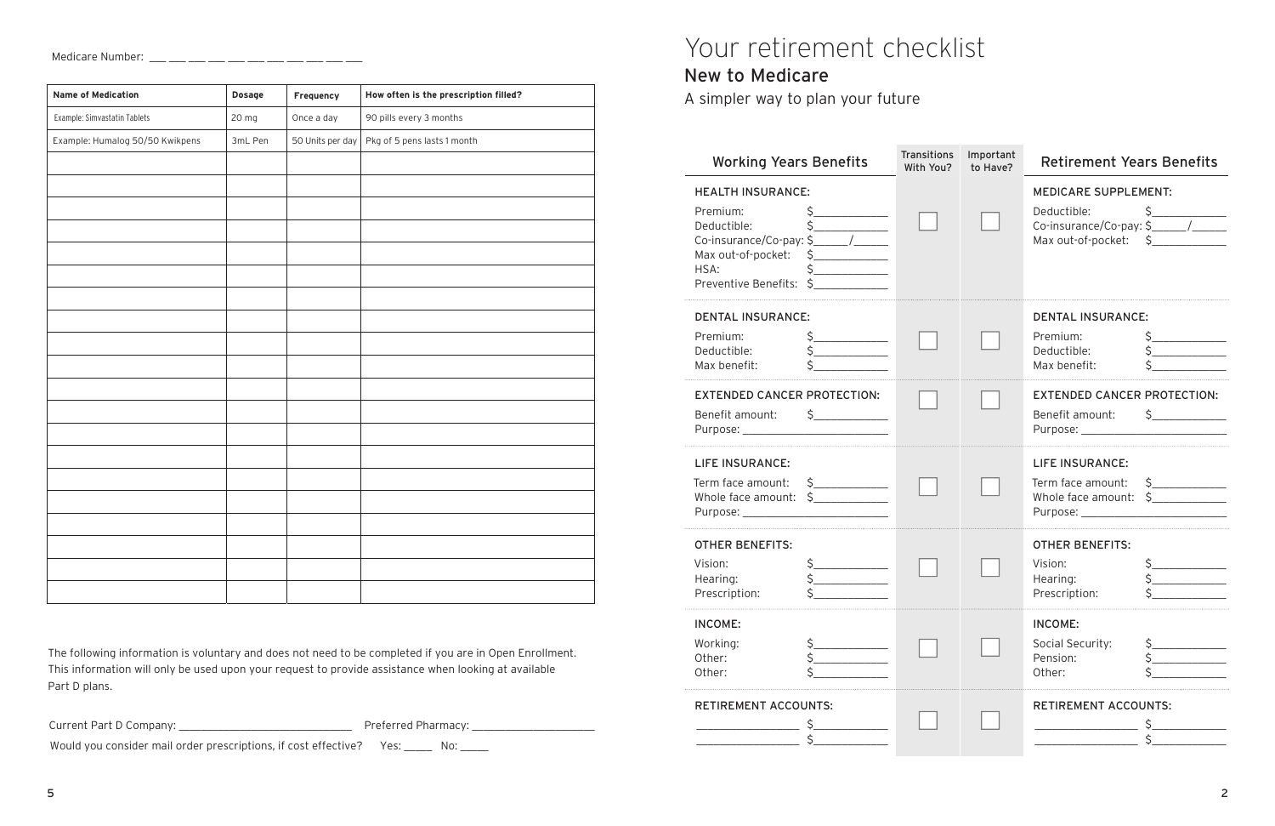# Your retirement checklist

#### New to Medicare

A simpler way to plan your future

| <b>Working Years Benefits</b>                                                                                                                                                                                                                                                                                                                                                                                                                                                                                                                                                                                                                                                  | <b>Transitions</b><br>With You? | Important<br>to Have? | <b>Retirement Years Benefits</b>                                                                                                                                                                                                                                                                                                                                                                                      |
|--------------------------------------------------------------------------------------------------------------------------------------------------------------------------------------------------------------------------------------------------------------------------------------------------------------------------------------------------------------------------------------------------------------------------------------------------------------------------------------------------------------------------------------------------------------------------------------------------------------------------------------------------------------------------------|---------------------------------|-----------------------|-----------------------------------------------------------------------------------------------------------------------------------------------------------------------------------------------------------------------------------------------------------------------------------------------------------------------------------------------------------------------------------------------------------------------|
| <b>HEALTH INSURANCE:</b><br>Premium:<br>Deductible:<br>Max out-of-pocket: \$<br>HSA:<br>\$<br>Preventive Benefits: \$                                                                                                                                                                                                                                                                                                                                                                                                                                                                                                                                                          |                                 |                       | <b>MEDICARE SUPPLEMENT:</b><br>Max out-of-pocket: \$                                                                                                                                                                                                                                                                                                                                                                  |
| <b>DENTAL INSURANCE:</b><br>Premium:<br>Deductible:<br>Max benefit:                                                                                                                                                                                                                                                                                                                                                                                                                                                                                                                                                                                                            |                                 |                       | <b>DENTAL INSURANCE:</b><br>Premium:<br>Deductible:<br>Max benefit:                                                                                                                                                                                                                                                                                                                                                   |
| <b>EXTENDED CANCER PROTECTION:</b><br>Benefit amount: \$____________                                                                                                                                                                                                                                                                                                                                                                                                                                                                                                                                                                                                           |                                 |                       | <b>EXTENDED CANCER PROTECTION:</b><br>Benefit amount: \$____________                                                                                                                                                                                                                                                                                                                                                  |
| <b>LIFE INSURANCE:</b><br>Term face amount:<br>$\begin{picture}(20,20) \put(0,0){\line(1,0){10}} \put(15,0){\line(1,0){10}} \put(15,0){\line(1,0){10}} \put(15,0){\line(1,0){10}} \put(15,0){\line(1,0){10}} \put(15,0){\line(1,0){10}} \put(15,0){\line(1,0){10}} \put(15,0){\line(1,0){10}} \put(15,0){\line(1,0){10}} \put(15,0){\line(1,0){10}} \put(15,0){\line(1,0){10}} \put(15,0){\line(1$<br>Whole face amount: $\zeta$ ___________<br>Purpose: New York Changes and Security and Security and Security and Security and Security and Security and Security and Security and Security and Security and Security and Security and Security and Security and Security a |                                 |                       | <b>LIFE INSURANCE:</b><br>Term face amount:<br>S<br>Whole face amount: \$                                                                                                                                                                                                                                                                                                                                             |
| <b>OTHER BENEFITS:</b><br>$\frac{1}{2}$<br>Vision:<br>Hearing:<br>Prescription:                                                                                                                                                                                                                                                                                                                                                                                                                                                                                                                                                                                                |                                 |                       | <b>OTHER BENEFITS:</b><br>$\begin{picture}(20,20) \put(0,0){\line(1,0){10}} \put(15,0){\line(1,0){10}} \put(15,0){\line(1,0){10}} \put(15,0){\line(1,0){10}} \put(15,0){\line(1,0){10}} \put(15,0){\line(1,0){10}} \put(15,0){\line(1,0){10}} \put(15,0){\line(1,0){10}} \put(15,0){\line(1,0){10}} \put(15,0){\line(1,0){10}} \put(15,0){\line(1,0){10}} \put(15,0){\line(1$<br>Vision:<br>Hearing:<br>Prescription: |
| <b>INCOME:</b><br>Working:<br>Other:<br>Other:                                                                                                                                                                                                                                                                                                                                                                                                                                                                                                                                                                                                                                 |                                 |                       | <b>INCOME:</b><br>Social Security:<br>Pension:<br>Other:                                                                                                                                                                                                                                                                                                                                                              |
| <b>RETIREMENT ACCOUNTS:</b>                                                                                                                                                                                                                                                                                                                                                                                                                                                                                                                                                                                                                                                    |                                 |                       | <b>RETIREMENT ACCOUNTS:</b>                                                                                                                                                                                                                                                                                                                                                                                           |